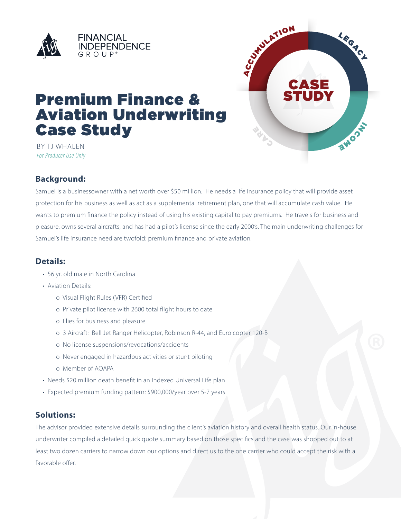



# **Premium Finance & Aviation Underwriting Case Study**

BY TJ WHALEN For Producer Use Only

## **Background:**

Samuel is a businessowner with a net worth over \$50 million. He needs a life insurance policy that will provide asset protection for his business as well as act as a supplemental retirement plan, one that will accumulate cash value. He wants to premium finance the policy instead of using his existing capital to pay premiums. He travels for business and pleasure, owns several aircrafts, and has had a pilot's license since the early 2000's. The main underwriting challenges for Samuel's life insurance need are twofold: premium finance and private aviation.

# Details:

- 56 yr. old male in North Carolina
- Aviation Details:
	- o Visual Flight Rules (VFR) Certified
	- o Private pilot license with 2600 total flight hours to date
	- o Flies for business and pleasure
	- o 3 Aircraft: Bell Jet Ranger Helicopter, Robinson R-44, and Euro copter 120-B
	- o No license suspensions/revocations/accidents
	- o Never engaged in hazardous activities or stunt piloting
	- o Member of AOAPA
- Needs \$20 million death benefit in an Indexed Universal Life plan
- · Expected premium funding pattern: \$900,000/year over 5-7 years

### **Solutions:**

The advisor provided extensive details surrounding the client's aviation history and overall health status. Our in-house underwriter compiled a detailed quick quote summary based on those specifics and the case was shopped out to at least two dozen carriers to narrow down our options and direct us to the one carrier who could accept the risk with a favorable offer